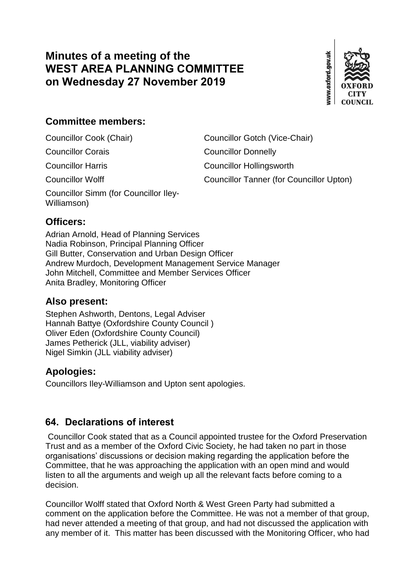# **Minutes of a meeting of the WEST AREA PLANNING COMMITTEE on Wednesday 27 November 2019**



## **Committee members:**

Councillor Simm (for Councillor Iley-Williamson)

Councillor Cook (Chair) Councillor Gotch (Vice-Chair)

Councillor Corais Councillor Donnelly

Councillor Harris Councillor Hollingsworth

Councillor Wolff Councillor Tanner (for Councillor Upton)

## **Officers:**

Adrian Arnold, Head of Planning Services Nadia Robinson, Principal Planning Officer Gill Butter, Conservation and Urban Design Officer Andrew Murdoch, Development Management Service Manager John Mitchell, Committee and Member Services Officer Anita Bradley, Monitoring Officer

## **Also present:**

Stephen Ashworth, Dentons, Legal Adviser Hannah Battye (Oxfordshire County Council ) Oliver Eden (Oxfordshire County Council) James Petherick (JLL, viability adviser) Nigel Simkin (JLL viability adviser)

## **Apologies:**

Councillors Iley-Williamson and Upton sent apologies.

# **64. Declarations of interest**

Councillor Cook stated that as a Council appointed trustee for the Oxford Preservation Trust and as a member of the Oxford Civic Society, he had taken no part in those organisations' discussions or decision making regarding the application before the Committee, that he was approaching the application with an open mind and would listen to all the arguments and weigh up all the relevant facts before coming to a decision.

Councillor Wolff stated that Oxford North & West Green Party had submitted a comment on the application before the Committee. He was not a member of that group, had never attended a meeting of that group, and had not discussed the application with any member of it. This matter has been discussed with the Monitoring Officer, who had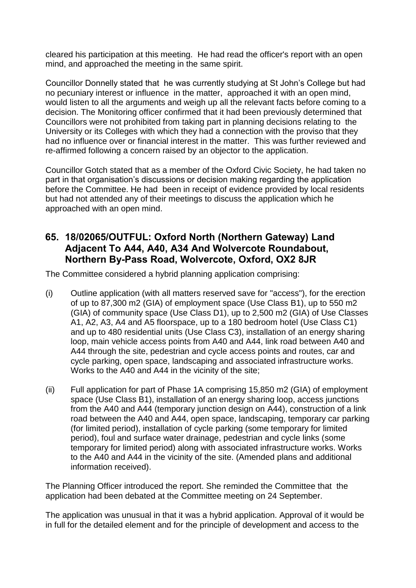cleared his participation at this meeting. He had read the officer's report with an open mind, and approached the meeting in the same spirit.

Councillor Donnelly stated that he was currently studying at St John's College but had no pecuniary interest or influence in the matter, approached it with an open mind, would listen to all the arguments and weigh up all the relevant facts before coming to a decision. The Monitoring officer confirmed that it had been previously determined that Councillors were not prohibited from taking part in planning decisions relating to the University or its Colleges with which they had a connection with the proviso that they had no influence over or financial interest in the matter. This was further reviewed and re-affirmed following a concern raised by an objector to the application.

Councillor Gotch stated that as a member of the Oxford Civic Society, he had taken no part in that organisation's discussions or decision making regarding the application before the Committee. He had been in receipt of evidence provided by local residents but had not attended any of their meetings to discuss the application which he approached with an open mind.

### **65. 18/02065/OUTFUL: Oxford North (Northern Gateway) Land Adjacent To A44, A40, A34 And Wolvercote Roundabout, Northern By-Pass Road, Wolvercote, Oxford, OX2 8JR**

The Committee considered a hybrid planning application comprising:

- (i) Outline application (with all matters reserved save for "access"), for the erection of up to 87,300 m2 (GIA) of employment space (Use Class B1), up to 550 m2 (GIA) of community space (Use Class D1), up to 2,500 m2 (GIA) of Use Classes A1, A2, A3, A4 and A5 floorspace, up to a 180 bedroom hotel (Use Class C1) and up to 480 residential units (Use Class C3), installation of an energy sharing loop, main vehicle access points from A40 and A44, link road between A40 and A44 through the site, pedestrian and cycle access points and routes, car and cycle parking, open space, landscaping and associated infrastructure works. Works to the A40 and A44 in the vicinity of the site;
- (ii) Full application for part of Phase 1A comprising 15,850 m2 (GIA) of employment space (Use Class B1), installation of an energy sharing loop, access junctions from the A40 and A44 (temporary junction design on A44), construction of a link road between the A40 and A44, open space, landscaping, temporary car parking (for limited period), installation of cycle parking (some temporary for limited period), foul and surface water drainage, pedestrian and cycle links (some temporary for limited period) along with associated infrastructure works. Works to the A40 and A44 in the vicinity of the site. (Amended plans and additional information received).

The Planning Officer introduced the report. She reminded the Committee that the application had been debated at the Committee meeting on 24 September.

The application was unusual in that it was a hybrid application. Approval of it would be in full for the detailed element and for the principle of development and access to the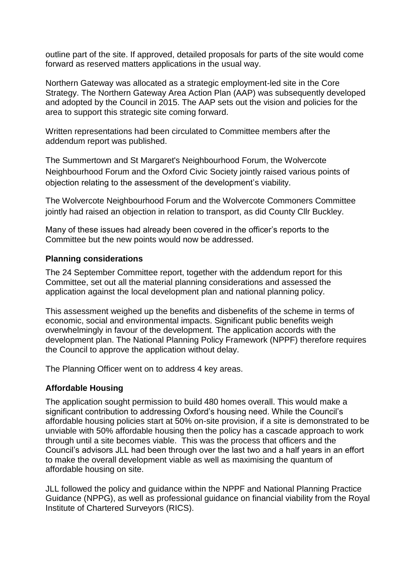outline part of the site. If approved, detailed proposals for parts of the site would come forward as reserved matters applications in the usual way.

Northern Gateway was allocated as a strategic employment-led site in the Core Strategy. The Northern Gateway Area Action Plan (AAP) was subsequently developed and adopted by the Council in 2015. The AAP sets out the vision and policies for the area to support this strategic site coming forward.

Written representations had been circulated to Committee members after the addendum report was published.

The Summertown and St Margaret's Neighbourhood Forum, the Wolvercote Neighbourhood Forum and the Oxford Civic Society jointly raised various points of objection relating to the assessment of the development's viability.

The Wolvercote Neighbourhood Forum and the Wolvercote Commoners Committee jointly had raised an objection in relation to transport, as did County Cllr Buckley.

Many of these issues had already been covered in the officer's reports to the Committee but the new points would now be addressed.

#### **Planning considerations**

The 24 September Committee report, together with the addendum report for this Committee, set out all the material planning considerations and assessed the application against the local development plan and national planning policy.

This assessment weighed up the benefits and disbenefits of the scheme in terms of economic, social and environmental impacts. Significant public benefits weigh overwhelmingly in favour of the development. The application accords with the development plan. The National Planning Policy Framework (NPPF) therefore requires the Council to approve the application without delay.

The Planning Officer went on to address 4 key areas.

#### **Affordable Housing**

The application sought permission to build 480 homes overall. This would make a significant contribution to addressing Oxford's housing need. While the Council's affordable housing policies start at 50% on-site provision, if a site is demonstrated to be unviable with 50% affordable housing then the policy has a cascade approach to work through until a site becomes viable. This was the process that officers and the Council's advisors JLL had been through over the last two and a half years in an effort to make the overall development viable as well as maximising the quantum of affordable housing on site.

JLL followed the policy and guidance within the NPPF and National Planning Practice Guidance (NPPG), as well as professional guidance on financial viability from the Royal Institute of Chartered Surveyors (RICS).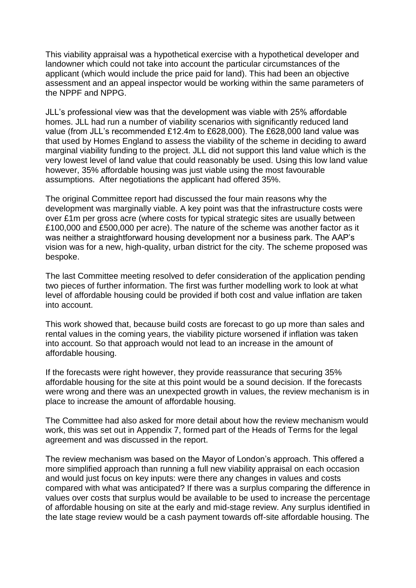This viability appraisal was a hypothetical exercise with a hypothetical developer and landowner which could not take into account the particular circumstances of the applicant (which would include the price paid for land). This had been an objective assessment and an appeal inspector would be working within the same parameters of the NPPF and NPPG.

JLL's professional view was that the development was viable with 25% affordable homes. JLL had run a number of viability scenarios with significantly reduced land value (from JLL's recommended £12.4m to £628,000). The £628,000 land value was that used by Homes England to assess the viability of the scheme in deciding to award marginal viability funding to the project. JLL did not support this land value which is the very lowest level of land value that could reasonably be used. Using this low land value however, 35% affordable housing was just viable using the most favourable assumptions. After negotiations the applicant had offered 35%.

The original Committee report had discussed the four main reasons why the development was marginally viable. A key point was that the infrastructure costs were over £1m per gross acre (where costs for typical strategic sites are usually between £100,000 and £500,000 per acre). The nature of the scheme was another factor as it was neither a straightforward housing development nor a business park. The AAP's vision was for a new, high-quality, urban district for the city. The scheme proposed was bespoke.

The last Committee meeting resolved to defer consideration of the application pending two pieces of further information. The first was further modelling work to look at what level of affordable housing could be provided if both cost and value inflation are taken into account.

This work showed that, because build costs are forecast to go up more than sales and rental values in the coming years, the viability picture worsened if inflation was taken into account. So that approach would not lead to an increase in the amount of affordable housing.

If the forecasts were right however, they provide reassurance that securing 35% affordable housing for the site at this point would be a sound decision. If the forecasts were wrong and there was an unexpected growth in values, the review mechanism is in place to increase the amount of affordable housing.

The Committee had also asked for more detail about how the review mechanism would work, this was set out in Appendix 7, formed part of the Heads of Terms for the legal agreement and was discussed in the report.

The review mechanism was based on the Mayor of London's approach. This offered a more simplified approach than running a full new viability appraisal on each occasion and would just focus on key inputs: were there any changes in values and costs compared with what was anticipated? If there was a surplus comparing the difference in values over costs that surplus would be available to be used to increase the percentage of affordable housing on site at the early and mid-stage review. Any surplus identified in the late stage review would be a cash payment towards off-site affordable housing. The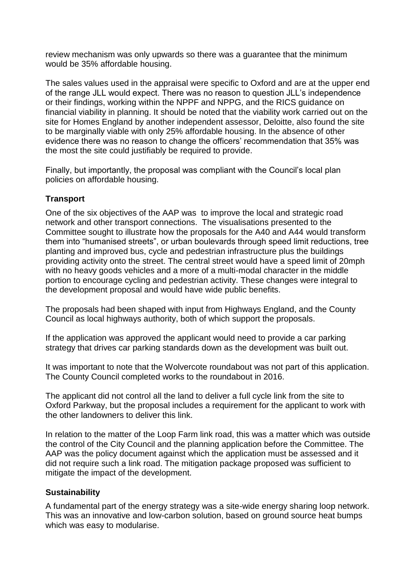review mechanism was only upwards so there was a guarantee that the minimum would be 35% affordable housing.

The sales values used in the appraisal were specific to Oxford and are at the upper end of the range JLL would expect. There was no reason to question JLL's independence or their findings, working within the NPPF and NPPG, and the RICS guidance on financial viability in planning. It should be noted that the viability work carried out on the site for Homes England by another independent assessor, Deloitte, also found the site to be marginally viable with only 25% affordable housing. In the absence of other evidence there was no reason to change the officers' recommendation that 35% was the most the site could justifiably be required to provide.

Finally, but importantly, the proposal was compliant with the Council's local plan policies on affordable housing.

#### **Transport**

One of the six objectives of the AAP was to improve the local and strategic road network and other transport connections. The visualisations presented to the Committee sought to illustrate how the proposals for the A40 and A44 would transform them into "humanised streets", or urban boulevards through speed limit reductions, tree planting and improved bus, cycle and pedestrian infrastructure plus the buildings providing activity onto the street. The central street would have a speed limit of 20mph with no heavy goods vehicles and a more of a multi-modal character in the middle portion to encourage cycling and pedestrian activity. These changes were integral to the development proposal and would have wide public benefits.

The proposals had been shaped with input from Highways England, and the County Council as local highways authority, both of which support the proposals.

If the application was approved the applicant would need to provide a car parking strategy that drives car parking standards down as the development was built out.

It was important to note that the Wolvercote roundabout was not part of this application. The County Council completed works to the roundabout in 2016.

The applicant did not control all the land to deliver a full cycle link from the site to Oxford Parkway, but the proposal includes a requirement for the applicant to work with the other landowners to deliver this link.

In relation to the matter of the Loop Farm link road, this was a matter which was outside the control of the City Council and the planning application before the Committee. The AAP was the policy document against which the application must be assessed and it did not require such a link road. The mitigation package proposed was sufficient to mitigate the impact of the development.

#### **Sustainability**

A fundamental part of the energy strategy was a site-wide energy sharing loop network. This was an innovative and low-carbon solution, based on ground source heat bumps which was easy to modularise.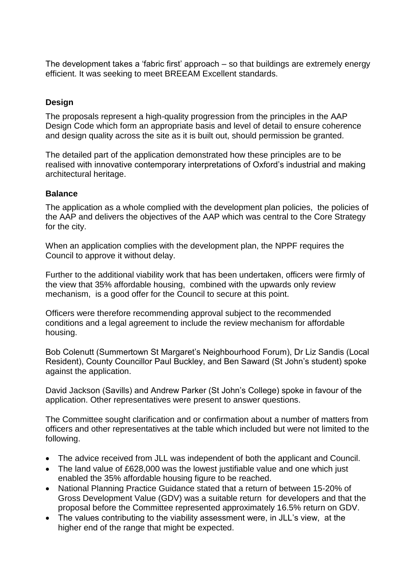The development takes a 'fabric first' approach – so that buildings are extremely energy efficient. It was seeking to meet BREEAM Excellent standards.

#### **Design**

The proposals represent a high-quality progression from the principles in the AAP Design Code which form an appropriate basis and level of detail to ensure coherence and design quality across the site as it is built out, should permission be granted.

The detailed part of the application demonstrated how these principles are to be realised with innovative contemporary interpretations of Oxford's industrial and making architectural heritage.

#### **Balance**

The application as a whole complied with the development plan policies, the policies of the AAP and delivers the objectives of the AAP which was central to the Core Strategy for the city.

When an application complies with the development plan, the NPPF requires the Council to approve it without delay.

Further to the additional viability work that has been undertaken, officers were firmly of the view that 35% affordable housing, combined with the upwards only review mechanism, is a good offer for the Council to secure at this point.

Officers were therefore recommending approval subject to the recommended conditions and a legal agreement to include the review mechanism for affordable housing.

Bob Colenutt (Summertown St Margaret's Neighbourhood Forum), Dr Liz Sandis (Local Resident), County Councillor Paul Buckley, and Ben Saward (St John's student) spoke against the application.

David Jackson (Savills) and Andrew Parker (St John's College) spoke in favour of the application. Other representatives were present to answer questions.

The Committee sought clarification and or confirmation about a number of matters from officers and other representatives at the table which included but were not limited to the following.

- The advice received from JLL was independent of both the applicant and Council.
- The land value of £628,000 was the lowest justifiable value and one which just enabled the 35% affordable housing figure to be reached.
- National Planning Practice Guidance stated that a return of between 15-20% of Gross Development Value (GDV) was a suitable return for developers and that the proposal before the Committee represented approximately 16.5% return on GDV.
- The values contributing to the viability assessment were, in JLL's view, at the higher end of the range that might be expected.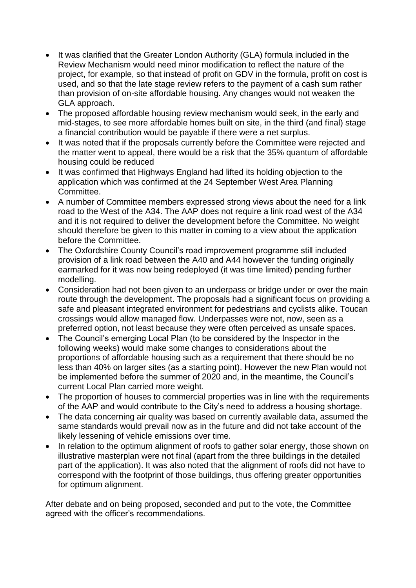- It was clarified that the Greater London Authority (GLA) formula included in the Review Mechanism would need minor modification to reflect the nature of the project, for example, so that instead of profit on GDV in the formula, profit on cost is used, and so that the late stage review refers to the payment of a cash sum rather than provision of on-site affordable housing. Any changes would not weaken the GLA approach.
- The proposed affordable housing review mechanism would seek, in the early and mid-stages, to see more affordable homes built on site, in the third (and final) stage a financial contribution would be payable if there were a net surplus.
- It was noted that if the proposals currently before the Committee were rejected and the matter went to appeal, there would be a risk that the 35% quantum of affordable housing could be reduced
- It was confirmed that Highways England had lifted its holding objection to the application which was confirmed at the 24 September West Area Planning Committee.
- A number of Committee members expressed strong views about the need for a link road to the West of the A34. The AAP does not require a link road west of the A34 and it is not required to deliver the development before the Committee. No weight should therefore be given to this matter in coming to a view about the application before the Committee.
- The Oxfordshire County Council's road improvement programme still included provision of a link road between the A40 and A44 however the funding originally earmarked for it was now being redeployed (it was time limited) pending further modelling.
- Consideration had not been given to an underpass or bridge under or over the main route through the development. The proposals had a significant focus on providing a safe and pleasant integrated environment for pedestrians and cyclists alike. Toucan crossings would allow managed flow. Underpasses were not, now, seen as a preferred option, not least because they were often perceived as unsafe spaces.
- The Council's emerging Local Plan (to be considered by the Inspector in the following weeks) would make some changes to considerations about the proportions of affordable housing such as a requirement that there should be no less than 40% on larger sites (as a starting point). However the new Plan would not be implemented before the summer of 2020 and, in the meantime, the Council's current Local Plan carried more weight.
- The proportion of houses to commercial properties was in line with the requirements of the AAP and would contribute to the City's need to address a housing shortage.
- The data concerning air quality was based on currently available data, assumed the same standards would prevail now as in the future and did not take account of the likely lessening of vehicle emissions over time.
- In relation to the optimum alignment of roofs to gather solar energy, those shown on illustrative masterplan were not final (apart from the three buildings in the detailed part of the application). It was also noted that the alignment of roofs did not have to correspond with the footprint of those buildings, thus offering greater opportunities for optimum alignment.

After debate and on being proposed, seconded and put to the vote, the Committee agreed with the officer's recommendations.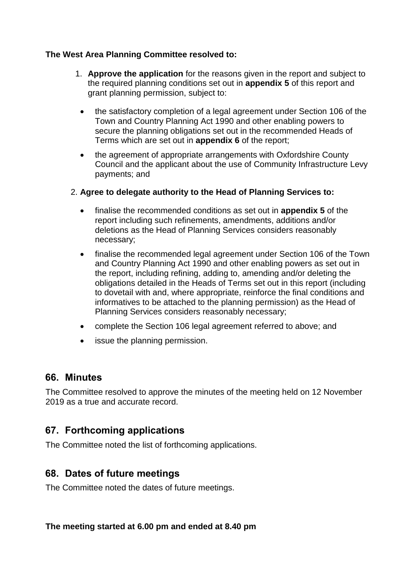#### **The West Area Planning Committee resolved to:**

- 1. **Approve the application** for the reasons given in the report and subject to the required planning conditions set out in **appendix 5** of this report and grant planning permission, subject to:
	- the satisfactory completion of a legal agreement under Section 106 of the Town and Country Planning Act 1990 and other enabling powers to secure the planning obligations set out in the recommended Heads of Terms which are set out in **appendix 6** of the report;
	- the agreement of appropriate arrangements with Oxfordshire County Council and the applicant about the use of Community Infrastructure Levy payments; and

#### 2. **Agree to delegate authority to the Head of Planning Services to:**

- finalise the recommended conditions as set out in **appendix 5** of the report including such refinements, amendments, additions and/or deletions as the Head of Planning Services considers reasonably necessary;
- finalise the recommended legal agreement under Section 106 of the Town and Country Planning Act 1990 and other enabling powers as set out in the report, including refining, adding to, amending and/or deleting the obligations detailed in the Heads of Terms set out in this report (including to dovetail with and, where appropriate, reinforce the final conditions and informatives to be attached to the planning permission) as the Head of Planning Services considers reasonably necessary;
- complete the Section 106 legal agreement referred to above; and
- issue the planning permission.

### **66. Minutes**

The Committee resolved to approve the minutes of the meeting held on 12 November 2019 as a true and accurate record.

### **67. Forthcoming applications**

The Committee noted the list of forthcoming applications.

### **68. Dates of future meetings**

The Committee noted the dates of future meetings.

**The meeting started at 6.00 pm and ended at 8.40 pm**